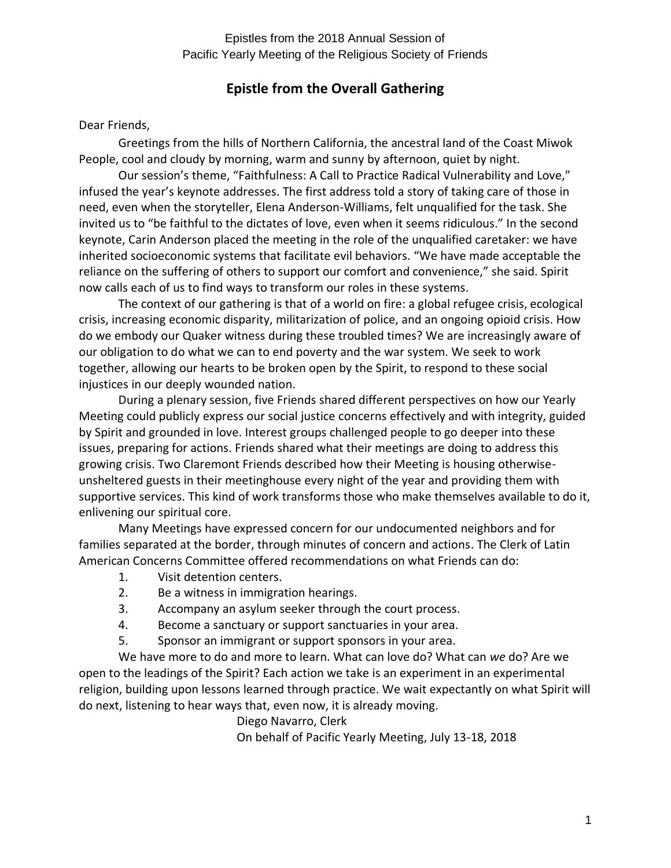### **Epistle from the Overall Gathering**

#### Dear Friends,

Greetings from the hills of Northern California, the ancestral land of the Coast Miwok People, cool and cloudy by morning, warm and sunny by afternoon, quiet by night.

Our session's theme, "Faithfulness: A Call to Practice Radical Vulnerability and Love," infused the year's keynote addresses. The first address told a story of taking care of those in need, even when the storyteller, Elena Anderson-Williams, felt unqualified for the task. She invited us to "be faithful to the dictates of love, even when it seems ridiculous." In the second keynote, Carin Anderson placed the meeting in the role of the unqualified caretaker: we have inherited socioeconomic systems that facilitate evil behaviors. "We have made acceptable the reliance on the suffering of others to support our comfort and convenience," she said. Spirit now calls each of us to find ways to transform our roles in these systems.

The context of our gathering is that of a world on fire: a global refugee crisis, ecological crisis, increasing economic disparity, militarization of police, and an ongoing opioid crisis. How do we embody our Quaker witness during these troubled times? We are increasingly aware of our obligation to do what we can to end poverty and the war system. We seek to work together, allowing our hearts to be broken open by the Spirit, to respond to these social injustices in our deeply wounded nation.

During a plenary session, five Friends shared different perspectives on how our Yearly Meeting could publicly express our social justice concerns effectively and with integrity, guided by Spirit and grounded in love. Interest groups challenged people to go deeper into these issues, preparing for actions. Friends shared what their meetings are doing to address this growing crisis. Two Claremont Friends described how their Meeting is housing otherwiseunsheltered guests in their meetinghouse every night of the year and providing them with supportive services. This kind of work transforms those who make themselves available to do it, enlivening our spiritual core.

Many Meetings have expressed concern for our undocumented neighbors and for families separated at the border, through minutes of concern and actions. The Clerk of Latin American Concerns Committee offered recommendations on what Friends can do:

- 1. Visit detention centers.
- 2. Be a witness in immigration hearings.
- 3. Accompany an asylum seeker through the court process.
- 4. Become a sanctuary or support sanctuaries in your area.
- 5. Sponsor an immigrant or support sponsors in your area.

We have more to do and more to learn. What can love do? What can *we* do? Are we open to the leadings of the Spirit? Each action we take is an experiment in an experimental religion, building upon lessons learned through practice. We wait expectantly on what Spirit will do next, listening to hear ways that, even now, it is already moving.

Diego Navarro, Clerk

On behalf of Pacific Yearly Meeting, July 13-18, 2018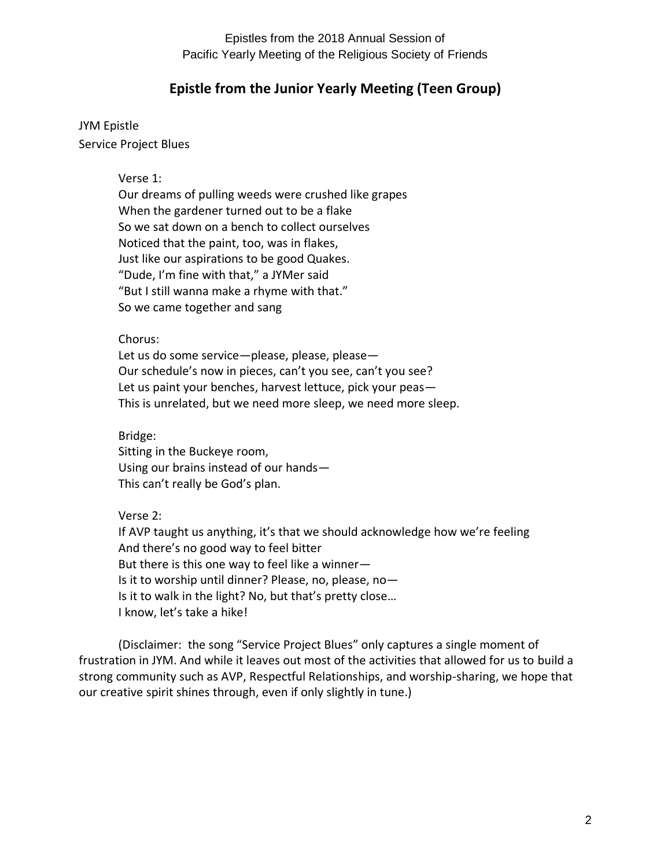### **Epistle from the Junior Yearly Meeting (Teen Group)**

JYM Epistle Service Project Blues

Verse 1:

Our dreams of pulling weeds were crushed like grapes When the gardener turned out to be a flake So we sat down on a bench to collect ourselves Noticed that the paint, too, was in flakes, Just like our aspirations to be good Quakes. "Dude, I'm fine with that," a JYMer said "But I still wanna make a rhyme with that." So we came together and sang

Chorus:

Let us do some service-please, please, please-Our schedule's now in pieces, can't you see, can't you see? Let us paint your benches, harvest lettuce, pick your peas— This is unrelated, but we need more sleep, we need more sleep.

Bridge:

Sitting in the Buckeye room, Using our brains instead of our hands— This can't really be God's plan.

Verse 2:

If AVP taught us anything, it's that we should acknowledge how we're feeling And there's no good way to feel bitter But there is this one way to feel like a winner— Is it to worship until dinner? Please, no, please, no— Is it to walk in the light? No, but that's pretty close… I know, let's take a hike!

(Disclaimer: the song "Service Project Blues" only captures a single moment of frustration in JYM. And while it leaves out most of the activities that allowed for us to build a strong community such as AVP, Respectful Relationships, and worship-sharing, we hope that our creative spirit shines through, even if only slightly in tune.)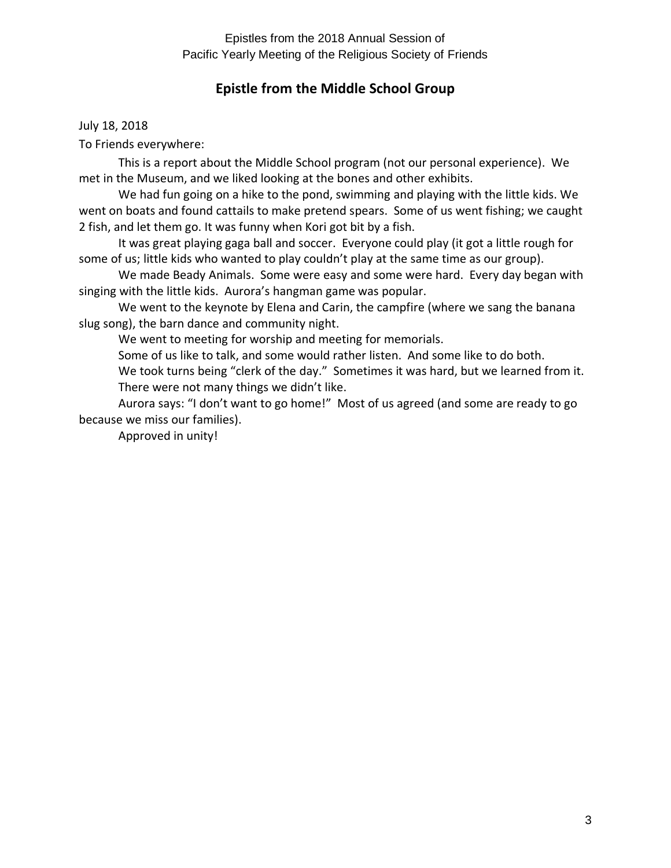## **Epistle from the Middle School Group**

July 18, 2018

To Friends everywhere:

This is a report about the Middle School program (not our personal experience). We met in the Museum, and we liked looking at the bones and other exhibits.

We had fun going on a hike to the pond, swimming and playing with the little kids. We went on boats and found cattails to make pretend spears. Some of us went fishing; we caught 2 fish, and let them go. It was funny when Kori got bit by a fish.

It was great playing gaga ball and soccer. Everyone could play (it got a little rough for some of us; little kids who wanted to play couldn't play at the same time as our group).

We made Beady Animals. Some were easy and some were hard. Every day began with singing with the little kids. Aurora's hangman game was popular.

We went to the keynote by Elena and Carin, the campfire (where we sang the banana slug song), the barn dance and community night.

We went to meeting for worship and meeting for memorials.

Some of us like to talk, and some would rather listen. And some like to do both. We took turns being "clerk of the day." Sometimes it was hard, but we learned from it.

There were not many things we didn't like.

Aurora says: "I don't want to go home!" Most of us agreed (and some are ready to go because we miss our families).

Approved in unity!